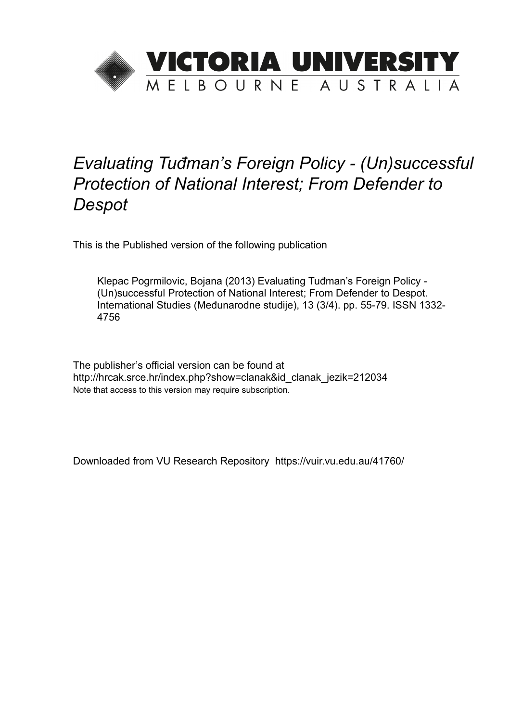

# *Evaluating Tuđman's Foreign Policy - (Un)successful Protection of National Interest; From Defender to Despot*

This is the Published version of the following publication

Klepac Pogrmilovic, Bojana (2013) Evaluating Tuđman's Foreign Policy - (Un)successful Protection of National Interest; From Defender to Despot. International Studies (Međunarodne studije), 13 (3/4). pp. 55-79. ISSN 1332- 4756

The publisher's official version can be found at http://hrcak.srce.hr/index.php?show=clanak&id\_clanak\_jezik=212034 Note that access to this version may require subscription.

Downloaded from VU Research Repository https://vuir.vu.edu.au/41760/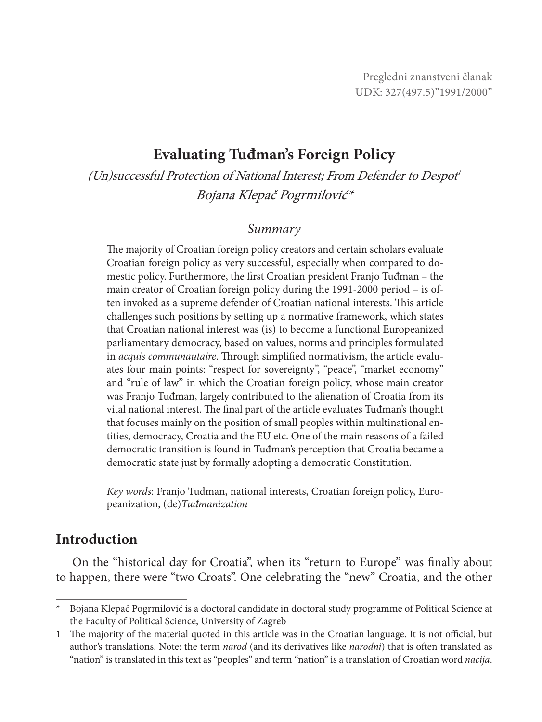## **Evaluating Tuđman's Foreign Policy**

(Un)successful Protection of National Interest; From Defender to Despot<sup>1</sup> Bojana Klepač Pogrmilović\*

#### *Summary*

The majority of Croatian foreign policy creators and certain scholars evaluate Croatian foreign policy as very successful, especially when compared to domestic policy. Furthermore, the first Croatian president Franjo Tuđman – the main creator of Croatian foreign policy during the 1991-2000 period – is often invoked as a supreme defender of Croatian national interests. This article challenges such positions by setting up a normative framework, which states that Croatian national interest was (is) to become a functional Europeanized parliamentary democracy, based on values, norms and principles formulated in *acquis communautaire*. Through simplified normativism, the article evaluates four main points: "respect for sovereignty", "peace", "market economy" and "rule of law" in which the Croatian foreign policy, whose main creator was Franjo Tuđman, largely contributed to the alienation of Croatia from its vital national interest. The final part of the article evaluates Tuđman's thought that focuses mainly on the position of small peoples within multinational entities, democracy, Croatia and the EU etc. One of the main reasons of a failed democratic transition is found in Tuđman's perception that Croatia became a democratic state just by formally adopting a democratic Constitution.

*Key words*: Franjo Tuđman, national interests, Croatian foreign policy, Europeanization, (de)*Tuđmanization*

### **Introduction**

On the "historical day for Croatia", when its "return to Europe" was finally about to happen, there were "two Croats". One celebrating the "new" Croatia, and the other

<sup>\*</sup> Bojana Klepač Pogrmilović is a doctoral candidate in doctoral study programme of Political Science at the Faculty of Political Science, University of Zagreb

<sup>1</sup> The majority of the material quoted in this article was in the Croatian language. It is not official, but author's translations. Note: the term *narod* (and its derivatives like *narodni*) that is often translated as "nation" is translated in this text as "peoples" and term "nation" is a translation of Croatian word *nacija*.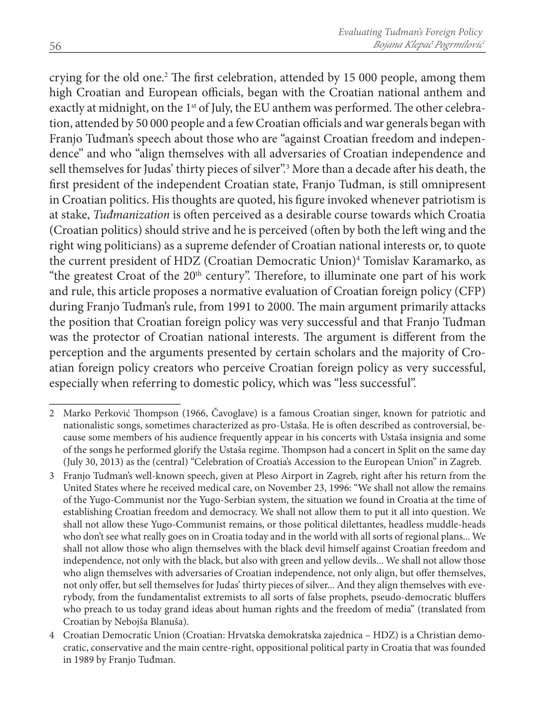crying for the old one.<sup>2</sup> The first celebration, attended by 15 000 people, among them high Croatian and European officials, began with the Croatian national anthem and exactly at midnight, on the 1<sup>st</sup> of July, the EU anthem was performed. The other celebration, attended by 50 000 people and a few Croatian officials and war generals began with Franjo Tuđman's speech about those who are "against Croatian freedom and independence" and who "align themselves with all adversaries of Croatian independence and sell themselves for Judas' thirty pieces of silver".<sup>3</sup> More than a decade after his death, the first president of the independent Croatian state, Franjo Tuđman, is still omnipresent in Croatian politics. His thoughts are quoted, his figure invoked whenever patriotism is at stake, *Tuđmanization* is often perceived as a desirable course towards which Croatia (Croatian politics) should strive and he is perceived (often by both the left wing and the right wing politicians) as a supreme defender of Croatian national interests or, to quote the current president of HDZ (Croatian Democratic Union)<sup>4</sup> Tomislav Karamarko, as "the greatest Croat of the 20<sup>th</sup> century". Therefore, to illuminate one part of his work and rule, this article proposes a normative evaluation of Croatian foreign policy (CFP) during Franjo Tuđman's rule, from 1991 to 2000. The main argument primarily attacks the position that Croatian foreign policy was very successful and that Franjo Tuđman was the protector of Croatian national interests. The argument is different from the perception and the arguments presented by certain scholars and the majority of Croatian foreign policy creators who perceive Croatian foreign policy as very successful, especially when referring to domestic policy, which was "less successful".

<sup>2</sup> Marko Perković Thompson (1966, Čavoglave) is a famous Croatian singer, known for patriotic and nationalistic songs, sometimes characterized as pro-Ustaša. He is often described as controversial, because some members of his audience frequently appear in his concerts with Ustaša insignia and some of the songs he performed glorify the Ustaša regime. Thompson had a concert in Split on the same day (July 30, 2013) as the (central) "Celebration of Croatia's Accession to the European Union" in Zagreb.

<sup>3</sup> Franjo Tuđman's well-known speech, given at Pleso Airport in Zagreb, right after his return from the United States where he received medical care, on November 23, 1996: "We shall not allow the remains of the Yugo-Communist nor the Yugo-Serbian system, the situation we found in Croatia at the time of establishing Croatian freedom and democracy. We shall not allow them to put it all into question. We shall not allow these Yugo-Communist remains, or those political dilettantes, headless muddle-heads who don't see what really goes on in Croatia today and in the world with all sorts of regional plans... We shall not allow those who align themselves with the black devil himself against Croatian freedom and independence, not only with the black, but also with green and yellow devils... We shall not allow those who align themselves with adversaries of Croatian independence, not only align, but offer themselves, not only offer, but sell themselves for Judas' thirty pieces of silver... And they align themselves with everybody, from the fundamentalist extremists to all sorts of false prophets, pseudo-democratic bluffers who preach to us today grand ideas about human rights and the freedom of media" (translated from Croatian by Nebojša Blanuša).

<sup>4</sup> Croatian Democratic Union (Croatian: Hrvatska demokratska zajednica – HDZ) is a Christian democratic, conservative and the main centre-right, oppositional political party in Croatia that was founded in 1989 by Franjo Tuđman.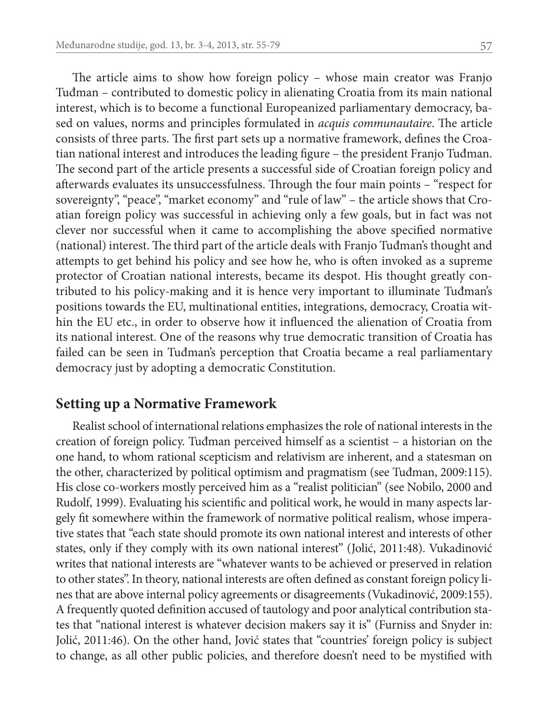The article aims to show how foreign policy – whose main creator was Franjo Tuđman – contributed to domestic policy in alienating Croatia from its main national interest, which is to become a functional Europeanized parliamentary democracy, based on values, norms and principles formulated in *acquis communautaire*. The article consists of three parts. The first part sets up a normative framework, defines the Croatian national interest and introduces the leading figure – the president Franjo Tuđman. The second part of the article presents a successful side of Croatian foreign policy and afterwards evaluates its unsuccessfulness. Through the four main points – "respect for sovereignty", "peace", "market economy" and "rule of law" – the article shows that Croatian foreign policy was successful in achieving only a few goals, but in fact was not clever nor successful when it came to accomplishing the above specified normative (national) interest. The third part of the article deals with Franjo Tuđman's thought and attempts to get behind his policy and see how he, who is often invoked as a supreme protector of Croatian national interests, became its despot. His thought greatly contributed to his policy-making and it is hence very important to illuminate Tuđman's positions towards the EU, multinational entities, integrations, democracy, Croatia within the EU etc., in order to observe how it influenced the alienation of Croatia from its national interest. One of the reasons why true democratic transition of Croatia has failed can be seen in Tuđman's perception that Croatia became a real parliamentary democracy just by adopting a democratic Constitution.

#### **Setting up a Normative Framework**

Realist school of international relations emphasizes the role of national interests in the creation of foreign policy. Tuđman perceived himself as a scientist – a historian on the one hand, to whom rational scepticism and relativism are inherent, and a statesman on the other, characterized by political optimism and pragmatism (see Tuđman, 2009:115). His close co-workers mostly perceived him as a "realist politician" (see Nobilo, 2000 and Rudolf, 1999). Evaluating his scientific and political work, he would in many aspects largely fit somewhere within the framework of normative political realism, whose imperative states that "each state should promote its own national interest and interests of other states, only if they comply with its own national interest" (Jolić, 2011:48). Vukadinović writes that national interests are "whatever wants to be achieved or preserved in relation to other states". In theory, national interests are often defined as constant foreign policy lines that are above internal policy agreements or disagreements (Vukadinović, 2009:155). A frequently quoted definition accused of tautology and poor analytical contribution states that "national interest is whatever decision makers say it is" (Furniss and Snyder in: Jolić, 2011:46). On the other hand, Jović states that "countries' foreign policy is subject to change, as all other public policies, and therefore doesn't need to be mystified with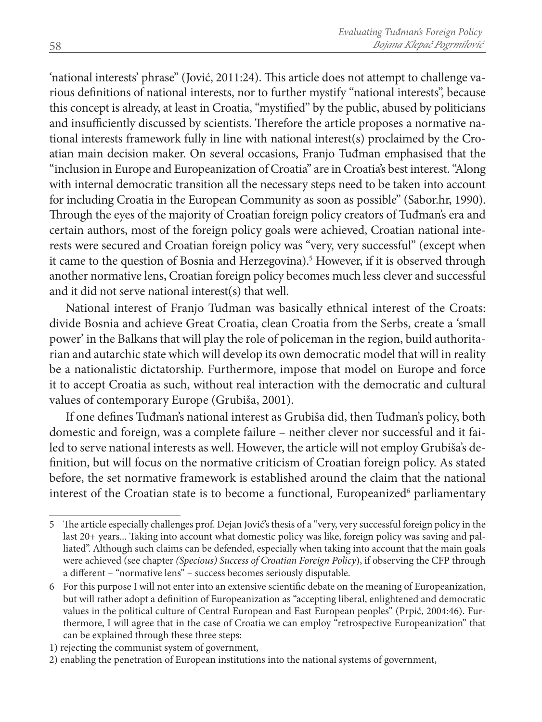'national interests' phrase" (Jović, 2011:24). This article does not attempt to challenge various definitions of national interests, nor to further mystify "national interests", because this concept is already, at least in Croatia, "mystified" by the public, abused by politicians and insufficiently discussed by scientists. Therefore the article proposes a normative national interests framework fully in line with national interest(s) proclaimed by the Croatian main decision maker. On several occasions, Franjo Tuđman emphasised that the "inclusion in Europe and Europeanization of Croatia" are in Croatia's best interest. "Along with internal democratic transition all the necessary steps need to be taken into account for including Croatia in the European Community as soon as possible" (Sabor.hr, 1990). Through the eyes of the majority of Croatian foreign policy creators of Tuđman's era and certain authors, most of the foreign policy goals were achieved, Croatian national interests were secured and Croatian foreign policy was "very, very successful" (except when it came to the question of Bosnia and Herzegovina).<sup>5</sup> However, if it is observed through another normative lens, Croatian foreign policy becomes much less clever and successful and it did not serve national interest(s) that well.

National interest of Franjo Tuđman was basically ethnical interest of the Croats: divide Bosnia and achieve Great Croatia, clean Croatia from the Serbs, create a 'small power' in the Balkans that will play the role of policeman in the region, build authoritarian and autarchic state which will develop its own democratic model that will in reality be a nationalistic dictatorship. Furthermore, impose that model on Europe and force it to accept Croatia as such, without real interaction with the democratic and cultural values of contemporary Europe (Grubiša, 2001).

If one defines Tuđman's national interest as Grubiša did, then Tuđman's policy, both domestic and foreign, was a complete failure – neither clever nor successful and it failed to serve national interests as well. However, the article will not employ Grubiša's definition, but will focus on the normative criticism of Croatian foreign policy. As stated before, the set normative framework is established around the claim that the national interest of the Croatian state is to become a functional, Europeanized<sup>6</sup> parliamentary

<sup>5</sup> The article especially challenges prof. Dejan Jović's thesis of a "very, very successful foreign policy in the last 20+ years... Taking into account what domestic policy was like, foreign policy was saving and palliated". Although such claims can be defended, especially when taking into account that the main goals were achieved (see chapter *(Specious) Success of Croatian Foreign Policy*), if observing the CFP through a different – "normative lens" – success becomes seriously disputable.

<sup>6</sup> For this purpose I will not enter into an extensive scientific debate on the meaning of Europeanization, but will rather adopt a definition of Europeanization as "accepting liberal, enlightened and democratic values in the political culture of Central European and East European peoples" (Prpić, 2004:46). Furthermore, I will agree that in the case of Croatia we can employ "retrospective Europeanization" that can be explained through these three steps:

<sup>1)</sup> rejecting the communist system of government,

<sup>2)</sup> enabling the penetration of European institutions into the national systems of government,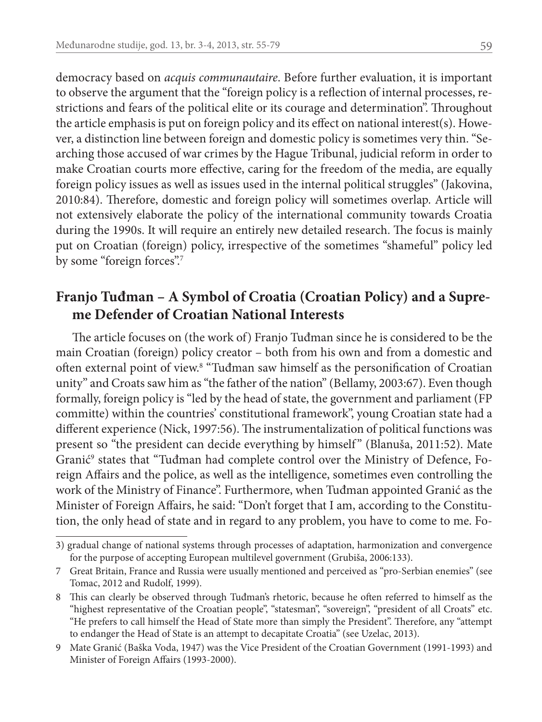democracy based on *acquis communautaire*. Before further evaluation, it is important to observe the argument that the "foreign policy is a reflection of internal processes, restrictions and fears of the political elite or its courage and determination". Throughout the article emphasis is put on foreign policy and its effect on national interest(s). However, a distinction line between foreign and domestic policy is sometimes very thin. "Searching those accused of war crimes by the Hague Tribunal, judicial reform in order to make Croatian courts more effective, caring for the freedom of the media, are equally foreign policy issues as well as issues used in the internal political struggles" (Jakovina, 2010:84). Therefore, domestic and foreign policy will sometimes overlap. Article will not extensively elaborate the policy of the international community towards Croatia during the 1990s. It will require an entirely new detailed research. The focus is mainly put on Croatian (foreign) policy, irrespective of the sometimes "shameful" policy led by some "foreign forces".<sup>7</sup>

## **Franjo Tuđman – A Symbol of Croatia (Croatian Policy) and a Supreme Defender of Croatian National Interests**

The article focuses on (the work of) Franjo Tuđman since he is considered to be the main Croatian (foreign) policy creator – both from his own and from a domestic and often external point of view.<sup>8</sup> "Tuđman saw himself as the personification of Croatian unity" and Croats saw him as "the father of the nation" (Bellamy, 2003:67). Even though formally, foreign policy is "led by the head of state, the government and parliament (FP committe) within the countries' constitutional framework", young Croatian state had a different experience (Nick, 1997:56). The instrumentalization of political functions was present so "the president can decide everything by himself " (Blanuša, 2011:52). Mate Granić<sup>9</sup> states that "Tuđman had complete control over the Ministry of Defence, Foreign Affairs and the police, as well as the intelligence, sometimes even controlling the work of the Ministry of Finance". Furthermore, when Tuđman appointed Granić as the Minister of Foreign Affairs, he said: "Don't forget that I am, according to the Constitution, the only head of state and in regard to any problem, you have to come to me. Fo-

<sup>3)</sup> gradual change of national systems through processes of adaptation, harmonization and convergence for the purpose of accepting European multilevel government (Grubiša, 2006:133).

<sup>7</sup> Great Britain, France and Russia were usually mentioned and perceived as "pro-Serbian enemies" (see Tomac, 2012 and Rudolf, 1999).

<sup>8</sup> This can clearly be observed through Tuđman's rhetoric, because he often referred to himself as the "highest representative of the Croatian people", "statesman", "sovereign", "president of all Croats" etc. "He prefers to call himself the Head of State more than simply the President". Therefore, any "attempt to endanger the Head of State is an attempt to decapitate Croatia" (see Uzelac, 2013).

<sup>9</sup> Mate Granić (Baška Voda, 1947) was the Vice President of the Croatian Government (1991-1993) and Minister of Foreign Affairs (1993-2000).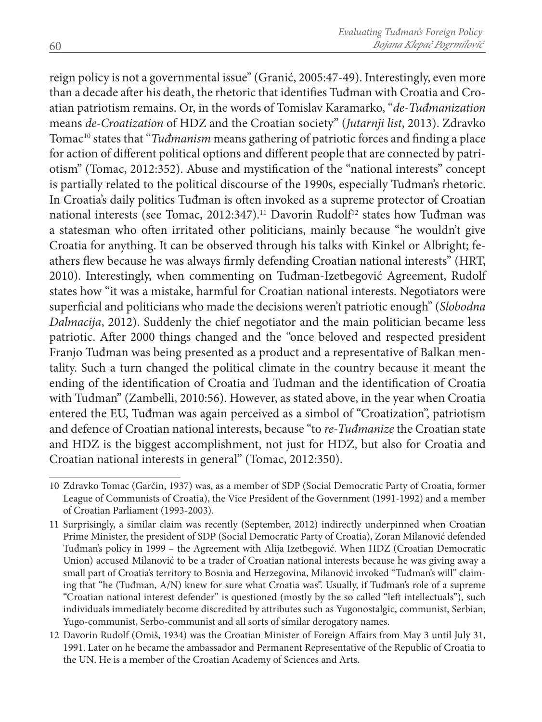reign policy is not a governmental issue" (Granić, 2005:47-49). Interestingly, even more than a decade after his death, the rhetoric that identifies Tuđman with Croatia and Croatian patriotism remains. Or, in the words of Tomislav Karamarko, "*de-Tuđmanization* means *de-Croatization* of HDZ and the Croatian society" (*Jutarnji list*, 2013). Zdravko Tomac10 states that "*Tuđmanism* means gathering of patriotic forces and finding a place for action of different political options and different people that are connected by patriotism" (Tomac, 2012:352). Abuse and mystification of the "national interests" concept is partially related to the political discourse of the 1990s, especially Tuđman's rhetoric. In Croatia's daily politics Tuđman is often invoked as a supreme protector of Croatian national interests (see Tomac, 2012:347).<sup>11</sup> Davorin Rudolf<sup>12</sup> states how Tuđman was a statesman who often irritated other politicians, mainly because "he wouldn't give Croatia for anything. It can be observed through his talks with Kinkel or Albright; feathers flew because he was always firmly defending Croatian national interests" (HRT, 2010). Interestingly, when commenting on Tuđman-Izetbegović Agreement, Rudolf states how "it was a mistake, harmful for Croatian national interests. Negotiators were superficial and politicians who made the decisions weren't patriotic enough" (*Slobodna Dalmacija*, 2012). Suddenly the chief negotiator and the main politician became less patriotic. After 2000 things changed and the "once beloved and respected president Franjo Tuđman was being presented as a product and a representative of Balkan mentality. Such a turn changed the political climate in the country because it meant the ending of the identification of Croatia and Tuđman and the identification of Croatia with Tuđman" (Zambelli, 2010:56). However, as stated above, in the year when Croatia entered the EU, Tuđman was again perceived as a simbol of "Croatization", patriotism and defence of Croatian national interests, because "to *re-Tuđmanize* the Croatian state and HDZ is the biggest accomplishment, not just for HDZ, but also for Croatia and Croatian national interests in general" (Tomac, 2012:350).

<sup>10</sup> Zdravko Tomac (Garčin, 1937) was, as a member of SDP (Social Democratic Party of Croatia, former League of Communists of Croatia), the Vice President of the Government (1991-1992) and a member of Croatian Parliament (1993-2003).

<sup>11</sup> Surprisingly, a similar claim was recently (September, 2012) indirectly underpinned when Croatian Prime Minister, the president of SDP (Social Democratic Party of Croatia), Zoran Milanović defended Tuđman's policy in 1999 – the Agreement with Alija Izetbegović. When HDZ (Croatian Democratic Union) accused Milanović to be a trader of Croatian national interests because he was giving away a small part of Croatia's territory to Bosnia and Herzegovina, Milanović invoked "Tuđman's will" claiming that "he (Tuđman, A/N) knew for sure what Croatia was". Usually, if Tuđman's role of a supreme "Croatian national interest defender" is questioned (mostly by the so called "left intellectuals"), such individuals immediately become discredited by attributes such as Yugonostalgic, communist, Serbian, Yugo-communist, Serbo-communist and all sorts of similar derogatory names.

<sup>12</sup> Davorin Rudolf (Omiš, 1934) was the Croatian Minister of Foreign Affairs from May 3 until July 31, 1991. Later on he became the ambassador and Permanent Representative of the Republic of Croatia to the UN. He is a member of the Croatian Academy of Sciences and Arts.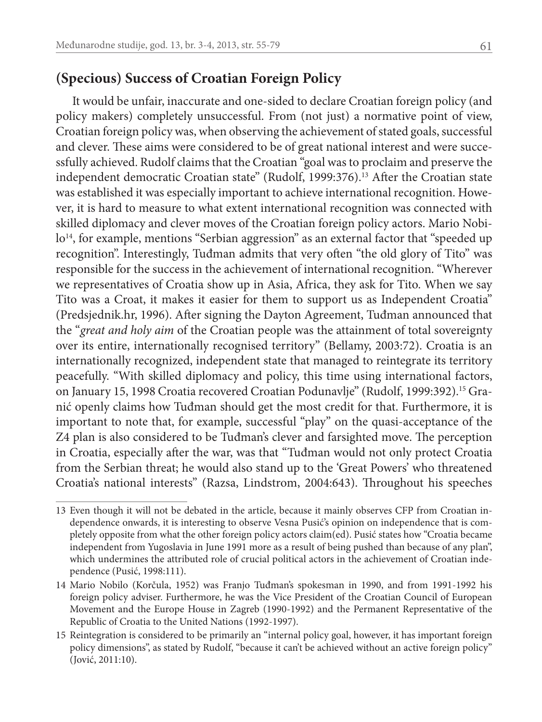## **(Specious) Success of Croatian Foreign Policy**

It would be unfair, inaccurate and one-sided to declare Croatian foreign policy (and policy makers) completely unsuccessful. From (not just) a normative point of view, Croatian foreign policy was, when observing the achievement of stated goals, successful and clever. These aims were considered to be of great national interest and were successfully achieved. Rudolf claims that the Croatian "goal was to proclaim and preserve the independent democratic Croatian state" (Rudolf, 1999:376).<sup>13</sup> After the Croatian state was established it was especially important to achieve international recognition. However, it is hard to measure to what extent international recognition was connected with skilled diplomacy and clever moves of the Croatian foreign policy actors. Mario Nobilo<sup>14</sup>, for example, mentions "Serbian aggression" as an external factor that "speeded up recognition". Interestingly, Tuđman admits that very often "the old glory of Tito" was responsible for the success in the achievement of international recognition. "Wherever we representatives of Croatia show up in Asia, Africa, they ask for Tito. When we say Tito was a Croat, it makes it easier for them to support us as Independent Croatia" (Predsjednik.hr, 1996). After signing the Dayton Agreement, Tuđman announced that the "*great and holy aim* of the Croatian people was the attainment of total sovereignty over its entire, internationally recognised territory" (Bellamy, 2003:72). Croatia is an internationally recognized, independent state that managed to reintegrate its territory peacefully. "With skilled diplomacy and policy, this time using international factors, on January 15, 1998 Croatia recovered Croatian Podunavlje" (Rudolf, 1999:392).15 Granić openly claims how Tuđman should get the most credit for that. Furthermore, it is important to note that, for example, successful "play" on the quasi-acceptance of the Z4 plan is also considered to be Tuđman's clever and farsighted move. The perception in Croatia, especially after the war, was that "Tuđman would not only protect Croatia from the Serbian threat; he would also stand up to the 'Great Powers' who threatened Croatia's national interests" (Razsa, Lindstrom, 2004:643). Throughout his speeches

<sup>13</sup> Even though it will not be debated in the article, because it mainly observes CFP from Croatian independence onwards, it is interesting to observe Vesna Pusić's opinion on independence that is completely opposite from what the other foreign policy actors claim(ed). Pusić states how "Croatia became independent from Yugoslavia in June 1991 more as a result of being pushed than because of any plan", which undermines the attributed role of crucial political actors in the achievement of Croatian independence (Pusić, 1998:111).

<sup>14</sup> Mario Nobilo (Korčula, 1952) was Franjo Tuđman's spokesman in 1990, and from 1991-1992 his foreign policy adviser. Furthermore, he was the Vice President of the Croatian Council of European Movement and the Europe House in Zagreb (1990-1992) and the Permanent Representative of the Republic of Croatia to the United Nations (1992-1997).

<sup>15</sup> Reintegration is considered to be primarily an "internal policy goal, however, it has important foreign policy dimensions", as stated by Rudolf, "because it can't be achieved without an active foreign policy" (Jović, 2011:10).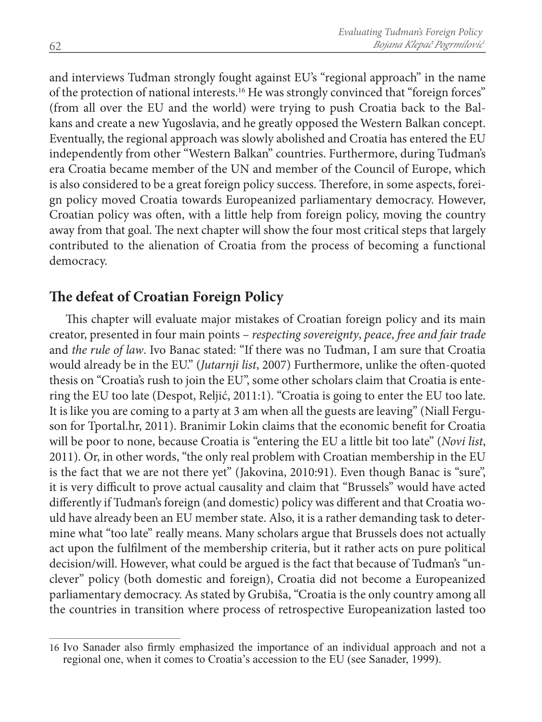and interviews Tuđman strongly fought against EU's "regional approach" in the name of the protection of national interests.16 He was strongly convinced that "foreign forces" (from all over the EU and the world) were trying to push Croatia back to the Balkans and create a new Yugoslavia, and he greatly opposed the Western Balkan concept. Eventually, the regional approach was slowly abolished and Croatia has entered the EU independently from other "Western Balkan" countries. Furthermore, during Tuđman's era Croatia became member of the UN and member of the Council of Europe, which is also considered to be a great foreign policy success. Therefore, in some aspects, foreign policy moved Croatia towards Europeanized parliamentary democracy. However, Croatian policy was often, with a little help from foreign policy, moving the country away from that goal. The next chapter will show the four most critical steps that largely contributed to the alienation of Croatia from the process of becoming a functional democracy.

## **The defeat of Croatian Foreign Policy**

This chapter will evaluate major mistakes of Croatian foreign policy and its main creator, presented in four main points – *respecting sovereignty*, *peace*, *free and fair trade* and *the rule of law*. Ivo Banac stated: "If there was no Tuđman, I am sure that Croatia would already be in the EU." (*Jutarnji list*, 2007) Furthermore, unlike the often-quoted thesis on "Croatia's rush to join the EU", some other scholars claim that Croatia is entering the EU too late (Despot, Reljić, 2011:1). "Croatia is going to enter the EU too late. It is like you are coming to a party at 3 am when all the guests are leaving" (Niall Ferguson for Tportal.hr, 2011). Branimir Lokin claims that the economic benefit for Croatia will be poor to none, because Croatia is "entering the EU a little bit too late" (*Novi list*, 2011). Or, in other words, "the only real problem with Croatian membership in the EU is the fact that we are not there yet" (Jakovina, 2010:91). Even though Banac is "sure", it is very difficult to prove actual causality and claim that "Brussels" would have acted differently if Tuđman's foreign (and domestic) policy was different and that Croatia would have already been an EU member state. Also, it is a rather demanding task to determine what "too late" really means. Many scholars argue that Brussels does not actually act upon the fulfilment of the membership criteria, but it rather acts on pure political decision/will. However, what could be argued is the fact that because of Tuđman's "unclever" policy (both domestic and foreign), Croatia did not become a Europeanized parliamentary democracy. As stated by Grubiša, "Croatia is the only country among all the countries in transition where process of retrospective Europeanization lasted too

<sup>16</sup> Ivo Sanader also firmly emphasized the importance of an individual approach and not a regional one, when it comes to Croatia's accession to the EU (see Sanader, 1999).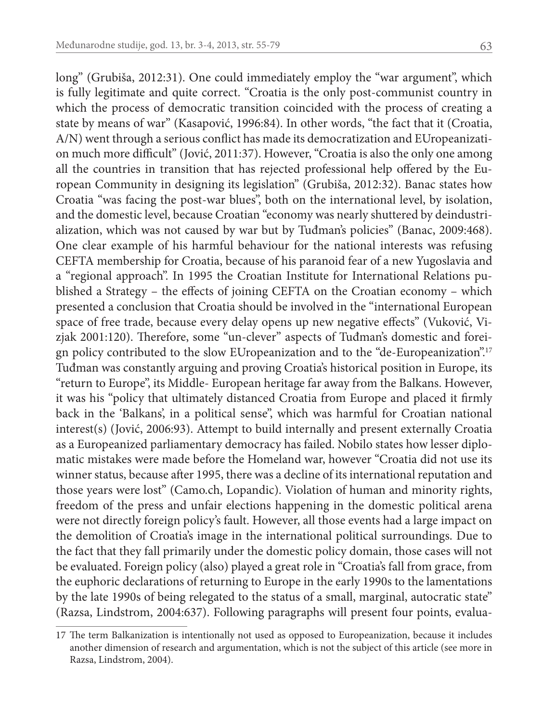long" (Grubiša, 2012:31). One could immediately employ the "war argument", which is fully legitimate and quite correct. "Croatia is the only post-communist country in which the process of democratic transition coincided with the process of creating a state by means of war" (Kasapović, 1996:84). In other words, "the fact that it (Croatia, A/N) went through a serious conflict has made its democratization and EUropeanization much more difficult" (Jović, 2011:37). However, "Croatia is also the only one among all the countries in transition that has rejected professional help offered by the European Community in designing its legislation" (Grubiša, 2012:32). Banac states how Croatia "was facing the post-war blues", both on the international level, by isolation, and the domestic level, because Croatian "economy was nearly shuttered by deindustrialization, which was not caused by war but by Tuđman's policies" (Banac, 2009:468). One clear example of his harmful behaviour for the national interests was refusing CEFTA membership for Croatia, because of his paranoid fear of a new Yugoslavia and a "regional approach". In 1995 the Croatian Institute for International Relations published a Strategy – the effects of joining CEFTA on the Croatian economy – which presented a conclusion that Croatia should be involved in the "international European space of free trade, because every delay opens up new negative effects" (Vuković, Vizjak 2001:120). Therefore, some "un-clever" aspects of Tuđman's domestic and foreign policy contributed to the slow EUropeanization and to the "de-Europeanization".17 Tuđman was constantly arguing and proving Croatia's historical position in Europe, its "return to Europe", its Middle- European heritage far away from the Balkans. However, it was his "policy that ultimately distanced Croatia from Europe and placed it firmly back in the 'Balkans', in a political sense", which was harmful for Croatian national interest(s) (Jović, 2006:93). Attempt to build internally and present externally Croatia as a Europeanized parliamentary democracy has failed. Nobilo states how lesser diplomatic mistakes were made before the Homeland war, however "Croatia did not use its winner status, because after 1995, there was a decline of its international reputation and those years were lost" (Camo.ch, Lopandic). Violation of human and minority rights, freedom of the press and unfair elections happening in the domestic political arena were not directly foreign policy's fault. However, all those events had a large impact on the demolition of Croatia's image in the international political surroundings. Due to the fact that they fall primarily under the domestic policy domain, those cases will not be evaluated. Foreign policy (also) played a great role in "Croatia's fall from grace, from the euphoric declarations of returning to Europe in the early 1990s to the lamentations by the late 1990s of being relegated to the status of a small, marginal, autocratic state" (Razsa, Lindstrom, 2004:637). Following paragraphs will present four points, evalua-

<sup>17</sup> The term Balkanization is intentionally not used as opposed to Europeanization, because it includes another dimension of research and argumentation, which is not the subject of this article (see more in Razsa, Lindstrom, 2004).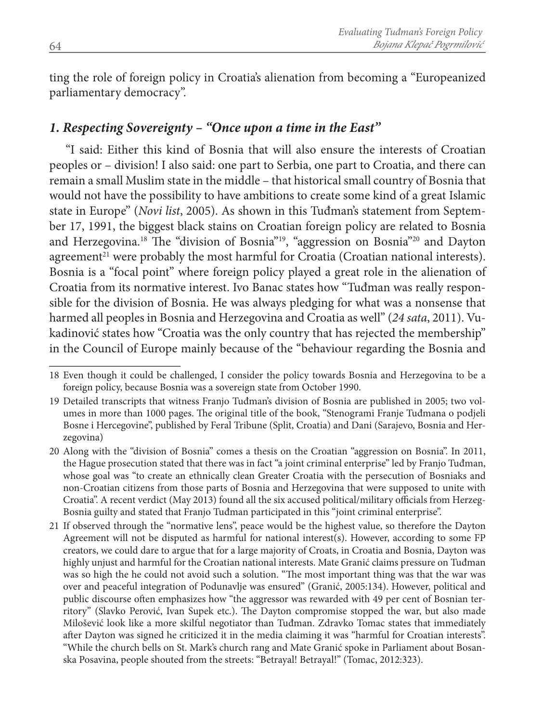ting the role of foreign policy in Croatia's alienation from becoming a "Europeanized parliamentary democracy".

#### *1. Respecting Sovereignty – "Once upon a time in the East"*

"I said: Either this kind of Bosnia that will also ensure the interests of Croatian peoples or – division! I also said: one part to Serbia, one part to Croatia, and there can remain a small Muslim state in the middle – that historical small country of Bosnia that would not have the possibility to have ambitions to create some kind of a great Islamic state in Europe" (*Novi list*, 2005). As shown in this Tuđman's statement from September 17, 1991, the biggest black stains on Croatian foreign policy are related to Bosnia and Herzegovina.18 The "division of Bosnia"19, "aggression on Bosnia"20 and Dayton agreement $2<sup>1</sup>$  were probably the most harmful for Croatia (Croatian national interests). Bosnia is a "focal point" where foreign policy played a great role in the alienation of Croatia from its normative interest. Ivo Banac states how "Tuđman was really responsible for the division of Bosnia. He was always pledging for what was a nonsense that harmed all peoples in Bosnia and Herzegovina and Croatia as well" (*24 sata*, 2011). Vukadinović states how "Croatia was the only country that has rejected the membership" in the Council of Europe mainly because of the "behaviour regarding the Bosnia and

<sup>18</sup> Even though it could be challenged, I consider the policy towards Bosnia and Herzegovina to be a foreign policy, because Bosnia was a sovereign state from October 1990.

<sup>19</sup> Detailed transcripts that witness Franjo Tuđman's division of Bosnia are published in 2005; two volumes in more than 1000 pages. The original title of the book, "Stenogrami Franje Tuđmana o podjeli Bosne i Hercegovine", published by Feral Tribune (Split, Croatia) and Dani (Sarajevo, Bosnia and Herzegovina)

<sup>20</sup> Along with the "division of Bosnia" comes a thesis on the Croatian "aggression on Bosnia". In 2011, the Hague prosecution stated that there was in fact "a joint criminal enterprise" led by Franjo Tuđman, whose goal was "to create an ethnically clean Greater Croatia with the persecution of Bosniaks and non-Croatian citizens from those parts of Bosnia and Herzegovina that were supposed to unite with Croatia". A recent verdict (May 2013) found all the six accused political/military officials from Herzeg-Bosnia guilty and stated that Franjo Tuđman participated in this "joint criminal enterprise".

<sup>21</sup> If observed through the "normative lens", peace would be the highest value, so therefore the Dayton Agreement will not be disputed as harmful for national interest(s). However, according to some FP creators, we could dare to argue that for a large majority of Croats, in Croatia and Bosnia, Dayton was highly unjust and harmful for the Croatian national interests. Mate Granić claims pressure on Tuđman was so high the he could not avoid such a solution. "The most important thing was that the war was over and peaceful integration of Podunavlje was ensured" (Granić, 2005:134). However, political and public discourse often emphasizes how "the aggressor was rewarded with 49 per cent of Bosnian territory" (Slavko Perović, Ivan Supek etc.). The Dayton compromise stopped the war, but also made Milošević look like a more skilful negotiator than Tuđman. Zdravko Tomac states that immediately after Dayton was signed he criticized it in the media claiming it was "harmful for Croatian interests". "While the church bells on St. Mark's church rang and Mate Granić spoke in Parliament about Bosanska Posavina, people shouted from the streets: "Betrayal! Betrayal!" (Tomac, 2012:323).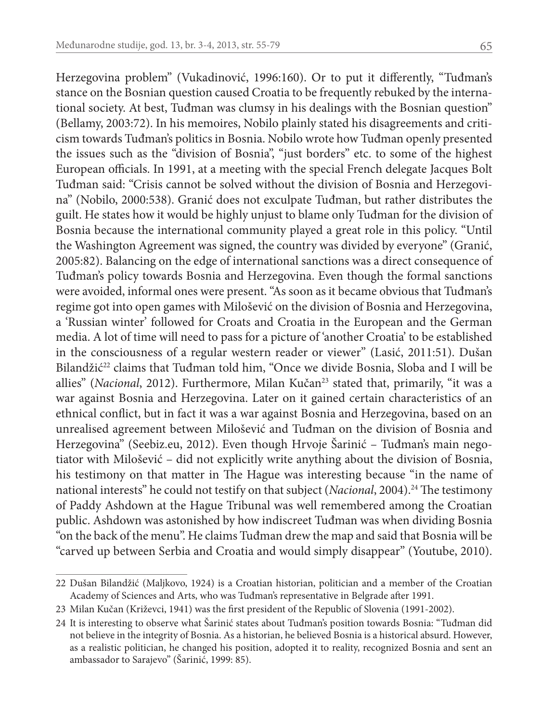Herzegovina problem" (Vukadinović, 1996:160). Or to put it differently, "Tuđman's stance on the Bosnian question caused Croatia to be frequently rebuked by the international society. At best, Tuđman was clumsy in his dealings with the Bosnian question" (Bellamy, 2003:72). In his memoires, Nobilo plainly stated his disagreements and criticism towards Tuđman's politics in Bosnia. Nobilo wrote how Tuđman openly presented the issues such as the "division of Bosnia", "just borders" etc. to some of the highest European officials. In 1991, at a meeting with the special French delegate Jacques Bolt Tuđman said: "Crisis cannot be solved without the division of Bosnia and Herzegovina" (Nobilo, 2000:538). Granić does not exculpate Tuđman, but rather distributes the guilt. He states how it would be highly unjust to blame only Tuđman for the division of Bosnia because the international community played a great role in this policy. "Until the Washington Agreement was signed, the country was divided by everyone" (Granić, 2005:82). Balancing on the edge of international sanctions was a direct consequence of Tuđman's policy towards Bosnia and Herzegovina. Even though the formal sanctions were avoided, informal ones were present. "As soon as it became obvious that Tuđman's regime got into open games with Milošević on the division of Bosnia and Herzegovina, a 'Russian winter' followed for Croats and Croatia in the European and the German media. A lot of time will need to pass for a picture of 'another Croatia' to be established in the consciousness of a regular western reader or viewer" (Lasić, 2011:51). Dušan Bilandžić<sup>22</sup> claims that Tuđman told him, "Once we divide Bosnia, Sloba and I will be allies" (*Nacional*, 2012). Furthermore, Milan Kučan23 stated that, primarily, "it was a war against Bosnia and Herzegovina. Later on it gained certain characteristics of an ethnical conflict, but in fact it was a war against Bosnia and Herzegovina, based on an unrealised agreement between Milošević and Tuđman on the division of Bosnia and Herzegovina" (Seebiz.eu, 2012). Even though Hrvoje Šarinić – Tuđman's main negotiator with Milošević – did not explicitly write anything about the division of Bosnia, his testimony on that matter in The Hague was interesting because "in the name of national interests" he could not testify on that subject (*Nacional*, 2004).<sup>24</sup> The testimony of Paddy Ashdown at the Hague Tribunal was well remembered among the Croatian public. Ashdown was astonished by how indiscreet Tuđman was when dividing Bosnia "on the back of the menu". He claims Tuđman drew the map and said that Bosnia will be "carved up between Serbia and Croatia and would simply disappear" (Youtube, 2010).

<sup>22</sup> Dušan Bilandžić (Maljkovo, 1924) is a Croatian historian, politician and a member of the Croatian Academy of Sciences and Arts, who was Tuđman's representative in Belgrade after 1991.

<sup>23</sup> Milan Kučan (Križevci, 1941) was the first president of the Republic of Slovenia (1991-2002).

<sup>24</sup> It is interesting to observe what Šarinić states about Tuđman's position towards Bosnia: "Tuđman did not believe in the integrity of Bosnia. As a historian, he believed Bosnia is a historical absurd. However, as a realistic politician, he changed his position, adopted it to reality, recognized Bosnia and sent an ambassador to Sarajevo" (Šarinić, 1999: 85).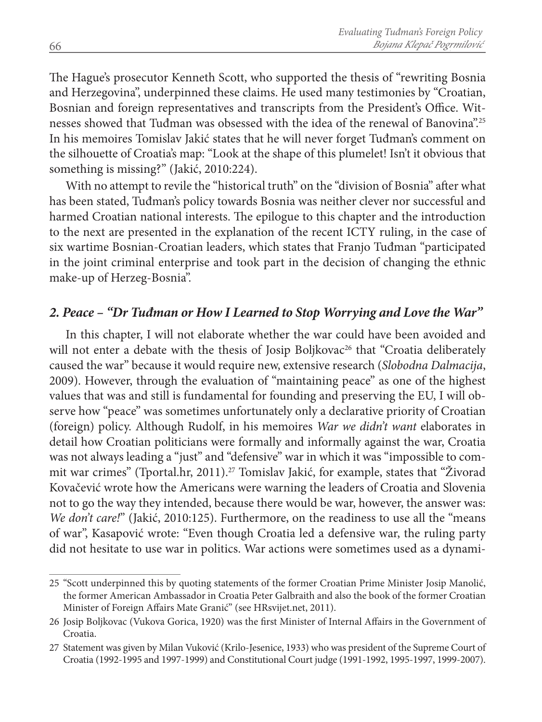The Hague's prosecutor Kenneth Scott, who supported the thesis of "rewriting Bosnia and Herzegovina", underpinned these claims. He used many testimonies by "Croatian, Bosnian and foreign representatives and transcripts from the President's Office. Witnesses showed that Tuđman was obsessed with the idea of the renewal of Banovina".25 In his memoires Tomislav Jakić states that he will never forget Tuđman's comment on the silhouette of Croatia's map: "Look at the shape of this plumelet! Isn't it obvious that something is missing?" (Jakić, 2010:224).

With no attempt to revile the "historical truth" on the "division of Bosnia" after what has been stated, Tuđman's policy towards Bosnia was neither clever nor successful and harmed Croatian national interests. The epilogue to this chapter and the introduction to the next are presented in the explanation of the recent ICTY ruling, in the case of six wartime Bosnian-Croatian leaders, which states that Franjo Tuđman "participated in the joint criminal enterprise and took part in the decision of changing the ethnic make-up of Herzeg-Bosnia".

#### *2. Peace – "Dr Tuđman or How I Learned to Stop Worrying and Love the War"*

In this chapter, I will not elaborate whether the war could have been avoided and will not enter a debate with the thesis of Josip Boljkovac<sup>26</sup> that "Croatia deliberately caused the war" because it would require new, extensive research (*Slobodna Dalmacija*, 2009). However, through the evaluation of "maintaining peace" as one of the highest values that was and still is fundamental for founding and preserving the EU, I will observe how "peace" was sometimes unfortunately only a declarative priority of Croatian (foreign) policy. Although Rudolf, in his memoires *War we didn't want* elaborates in detail how Croatian politicians were formally and informally against the war, Croatia was not always leading a "just" and "defensive" war in which it was "impossible to commit war crimes" (Tportal.hr, 2011).<sup>27</sup> Tomislav Jakić, for example, states that "Živorad" Kovačević wrote how the Americans were warning the leaders of Croatia and Slovenia not to go the way they intended, because there would be war, however, the answer was: *We don't care!*" (Jakić, 2010:125). Furthermore, on the readiness to use all the "means of war", Kasapović wrote: "Even though Croatia led a defensive war, the ruling party did not hesitate to use war in politics. War actions were sometimes used as a dynami-

<sup>25</sup> "Scott underpinned this by quoting statements of the former Croatian Prime Minister Josip Manolić, the former American Ambassador in Croatia Peter Galbraith and also the book of the former Croatian Minister of Foreign Affairs Mate Granić" (see HRsvijet.net, 2011).

<sup>26</sup> Josip Boljkovac (Vukova Gorica, 1920) was the first Minister of Internal Affairs in the Government of Croatia.

<sup>27</sup> Statement was given by Milan Vuković (Krilo-Jesenice, 1933) who was president of the Supreme Court of Croatia (1992-1995 and 1997-1999) and Constitutional Court judge (1991-1992, 1995-1997, 1999-2007).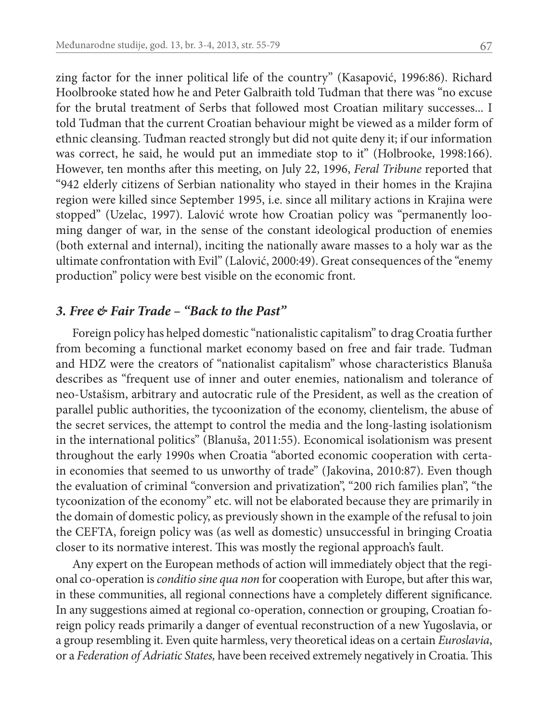zing factor for the inner political life of the country" (Kasapović, 1996:86). Richard Hoolbrooke stated how he and Peter Galbraith told Tuđman that there was "no excuse for the brutal treatment of Serbs that followed most Croatian military successes... I told Tuđman that the current Croatian behaviour might be viewed as a milder form of ethnic cleansing. Tuđman reacted strongly but did not quite deny it; if our information was correct, he said, he would put an immediate stop to it" (Holbrooke, 1998:166). However, ten months after this meeting, on July 22, 1996, *Feral Tribune* reported that "942 elderly citizens of Serbian nationality who stayed in their homes in the Krajina region were killed since September 1995, i.e. since all military actions in Krajina were stopped" (Uzelac, 1997). Lalović wrote how Croatian policy was "permanently looming danger of war, in the sense of the constant ideological production of enemies (both external and internal), inciting the nationally aware masses to a holy war as the ultimate confrontation with Evil" (Lalović, 2000:49). Great consequences of the "enemy production" policy were best visible on the economic front.

#### *3. Free & Fair Trade – "Back to the Past"*

Foreign policy has helped domestic "nationalistic capitalism" to drag Croatia further from becoming a functional market economy based on free and fair trade. Tuđman and HDZ were the creators of "nationalist capitalism" whose characteristics Blanuša describes as "frequent use of inner and outer enemies, nationalism and tolerance of neo-Ustašism, arbitrary and autocratic rule of the President, as well as the creation of parallel public authorities, the tycoonization of the economy, clientelism, the abuse of the secret services, the attempt to control the media and the long-lasting isolationism in the international politics" (Blanuša, 2011:55). Economical isolationism was present throughout the early 1990s when Croatia "aborted economic cooperation with certain economies that seemed to us unworthy of trade" (Jakovina, 2010:87). Even though the evaluation of criminal "conversion and privatization", "200 rich families plan", "the tycoonization of the economy" etc. will not be elaborated because they are primarily in the domain of domestic policy, as previously shown in the example of the refusal to join the CEFTA, foreign policy was (as well as domestic) unsuccessful in bringing Croatia closer to its normative interest. This was mostly the regional approach's fault.

Any expert on the European methods of action will immediately object that the regional co-operation is *conditio sine qua non* for cooperation with Europe, but after this war, in these communities, all regional connections have a completely different significance. In any suggestions aimed at regional co-operation, connection or grouping, Croatian foreign policy reads primarily a danger of eventual reconstruction of a new Yugoslavia, or a group resembling it. Even quite harmless, very theoretical ideas on a certain *Euroslavia*, or a *Federation of Adriatic States,* have been received extremely negatively in Croatia. This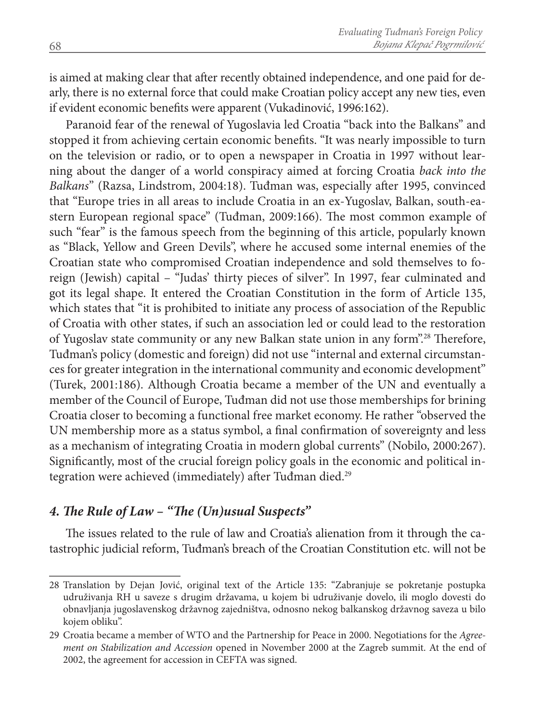is aimed at making clear that after recently obtained independence, and one paid for dearly, there is no external force that could make Croatian policy accept any new ties, even if evident economic benefits were apparent (Vukadinović, 1996:162).

Paranoid fear of the renewal of Yugoslavia led Croatia "back into the Balkans" and stopped it from achieving certain economic benefits. "It was nearly impossible to turn on the television or radio, or to open a newspaper in Croatia in 1997 without learning about the danger of a world conspiracy aimed at forcing Croatia *back into the Balkans*" (Razsa, Lindstrom, 2004:18). Tuđman was, especially after 1995, convinced that "Europe tries in all areas to include Croatia in an ex-Yugoslav, Balkan, south-eastern European regional space" (Tuđman, 2009:166). The most common example of such "fear" is the famous speech from the beginning of this article, popularly known as "Black, Yellow and Green Devils", where he accused some internal enemies of the Croatian state who compromised Croatian independence and sold themselves to foreign (Jewish) capital – "Judas' thirty pieces of silver". In 1997, fear culminated and got its legal shape. It entered the Croatian Constitution in the form of Article 135, which states that "it is prohibited to initiate any process of association of the Republic of Croatia with other states, if such an association led or could lead to the restoration of Yugoslav state community or any new Balkan state union in any form".28 Therefore, Tuđman's policy (domestic and foreign) did not use "internal and external circumstances for greater integration in the international community and economic development" (Turek, 2001:186). Although Croatia became a member of the UN and eventually a member of the Council of Europe, Tuđman did not use those memberships for brining Croatia closer to becoming a functional free market economy. He rather "observed the UN membership more as a status symbol, a final confirmation of sovereignty and less as a mechanism of integrating Croatia in modern global currents" (Nobilo, 2000:267). Significantly, most of the crucial foreign policy goals in the economic and political integration were achieved (immediately) after Tuđman died.<sup>29</sup>

#### *4. The Rule of Law – "The (Un)usual Suspects"*

The issues related to the rule of law and Croatia's alienation from it through the catastrophic judicial reform, Tuđman's breach of the Croatian Constitution etc. will not be

<sup>28</sup> Translation by Dejan Jović, original text of the Article 135: "Zabranjuje se pokretanje postupka udruživanja RH u saveze s drugim državama, u kojem bi udruživanje dovelo, ili moglo dovesti do obnavljanja jugoslavenskog državnog zajedništva, odnosno nekog balkanskog državnog saveza u bilo kojem obliku".

<sup>29</sup> Croatia became a member of WTO and the Partnership for Peace in 2000. Negotiations for the *Agreement on Stabilization and Accession* opened in November 2000 at the Zagreb summit. At the end of 2002, the agreement for accession in CEFTA was signed.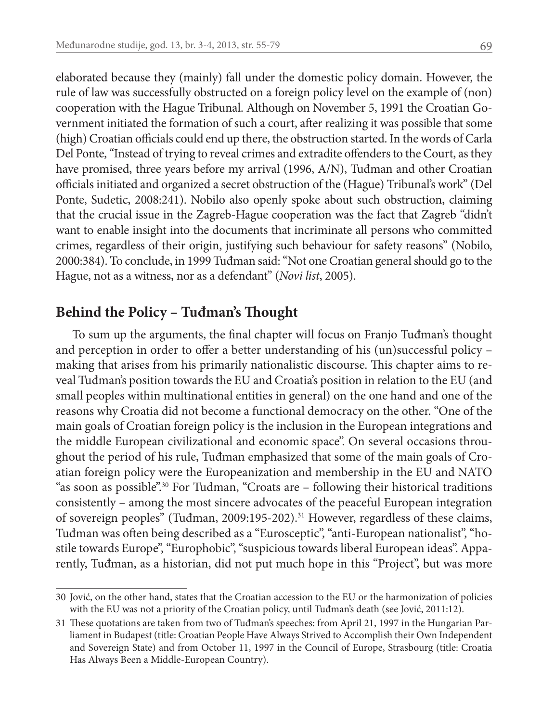elaborated because they (mainly) fall under the domestic policy domain. However, the rule of law was successfully obstructed on a foreign policy level on the example of (non) cooperation with the Hague Tribunal. Although on November 5, 1991 the Croatian Government initiated the formation of such a court, after realizing it was possible that some (high) Croatian officials could end up there, the obstruction started. In the words of Carla Del Ponte, "Instead of trying to reveal crimes and extradite offenders to the Court, as they have promised, three years before my arrival (1996, A/N), Tuđman and other Croatian officials initiated and organized a secret obstruction of the (Hague) Tribunal's work" (Del Ponte, Sudetic, 2008:241). Nobilo also openly spoke about such obstruction, claiming that the crucial issue in the Zagreb-Hague cooperation was the fact that Zagreb "didn't want to enable insight into the documents that incriminate all persons who committed crimes, regardless of their origin, justifying such behaviour for safety reasons" (Nobilo, 2000:384). To conclude, in 1999 Tuđman said: "Not one Croatian general should go to the Hague, not as a witness, nor as a defendant" (*Novi list*, 2005).

#### **Behind the Policy – Tuđman's Thought**

To sum up the arguments, the final chapter will focus on Franjo Tuđman's thought and perception in order to offer a better understanding of his (un)successful policy – making that arises from his primarily nationalistic discourse. This chapter aims to reveal Tuđman's position towards the EU and Croatia's position in relation to the EU (and small peoples within multinational entities in general) on the one hand and one of the reasons why Croatia did not become a functional democracy on the other. "One of the main goals of Croatian foreign policy is the inclusion in the European integrations and the middle European civilizational and economic space". On several occasions throughout the period of his rule, Tuđman emphasized that some of the main goals of Croatian foreign policy were the Europeanization and membership in the EU and NATO "as soon as possible".<sup>30</sup> For Tuđman, "Croats are  $-$  following their historical traditions consistently – among the most sincere advocates of the peaceful European integration of sovereign peoples" (Tuđman, 2009:195-202).31 However, regardless of these claims, Tuđman was often being described as a "Eurosceptic", "anti-European nationalist", "hostile towards Europe", "Europhobic", "suspicious towards liberal European ideas". Apparently, Tuđman, as a historian, did not put much hope in this "Project", but was more

<sup>30</sup> Jović, on the other hand, states that the Croatian accession to the EU or the harmonization of policies with the EU was not a priority of the Croatian policy, until Tuđman's death (see Jović, 2011:12).

<sup>31</sup> These quotations are taken from two of Tuđman's speeches: from April 21, 1997 in the Hungarian Parliament in Budapest (title: Croatian People Have Always Strived to Accomplish their Own Independent and Sovereign State) and from October 11, 1997 in the Council of Europe, Strasbourg (title: Croatia Has Always Been a Middle-European Country).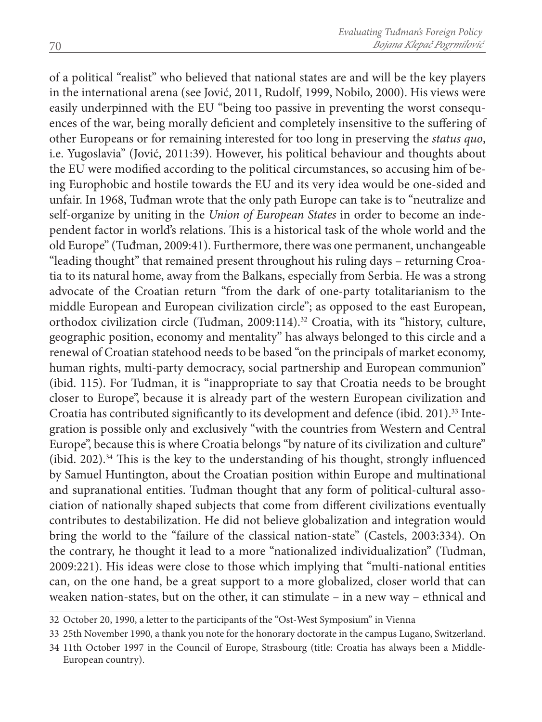of a political "realist" who believed that national states are and will be the key players in the international arena (see Jović, 2011, Rudolf, 1999, Nobilo, 2000). His views were easily underpinned with the EU "being too passive in preventing the worst consequences of the war, being morally deficient and completely insensitive to the suffering of other Europeans or for remaining interested for too long in preserving the *status quo*, i.e. Yugoslavia" (Jović, 2011:39). However, his political behaviour and thoughts about the EU were modified according to the political circumstances, so accusing him of being Europhobic and hostile towards the EU and its very idea would be one-sided and unfair. In 1968, Tuđman wrote that the only path Europe can take is to "neutralize and self-organize by uniting in the *Union of European States* in order to become an independent factor in world's relations. This is a historical task of the whole world and the old Europe" (Tuđman, 2009:41). Furthermore, there was one permanent, unchangeable "leading thought" that remained present throughout his ruling days – returning Croatia to its natural home, away from the Balkans, especially from Serbia. He was a strong advocate of the Croatian return "from the dark of one-party totalitarianism to the middle European and European civilization circle"; as opposed to the east European, orthodox civilization circle (Tuđman, 2009:114).<sup>32</sup> Croatia, with its "history, culture, geographic position, economy and mentality" has always belonged to this circle and a renewal of Croatian statehood needs to be based "on the principals of market economy, human rights, multi-party democracy, social partnership and European communion" (ibid. 115). For Tuđman, it is "inappropriate to say that Croatia needs to be brought closer to Europe", because it is already part of the western European civilization and Croatia has contributed significantly to its development and defence (ibid. 201).33 Integration is possible only and exclusively "with the countries from Western and Central Europe", because this is where Croatia belongs "by nature of its civilization and culture" (ibid. 202).34 This is the key to the understanding of his thought, strongly influenced by Samuel Huntington, about the Croatian position within Europe and multinational and supranational entities. Tuđman thought that any form of political-cultural association of nationally shaped subjects that come from different civilizations eventually contributes to destabilization. He did not believe globalization and integration would bring the world to the "failure of the classical nation-state" (Castels, 2003:334). On the contrary, he thought it lead to a more "nationalized individualization" (Tuđman, 2009:221). His ideas were close to those which implying that "multi-national entities can, on the one hand, be a great support to a more globalized, closer world that can weaken nation-states, but on the other, it can stimulate – in a new way – ethnical and

<sup>32</sup> October 20, 1990, a letter to the participants of the "Ost-West Symposium" in Vienna

<sup>33</sup> 25th November 1990, a thank you note for the honorary doctorate in the campus Lugano, Switzerland.

<sup>34</sup> 11th October 1997 in the Council of Europe, Strasbourg (title: Croatia has always been a Middle-European country).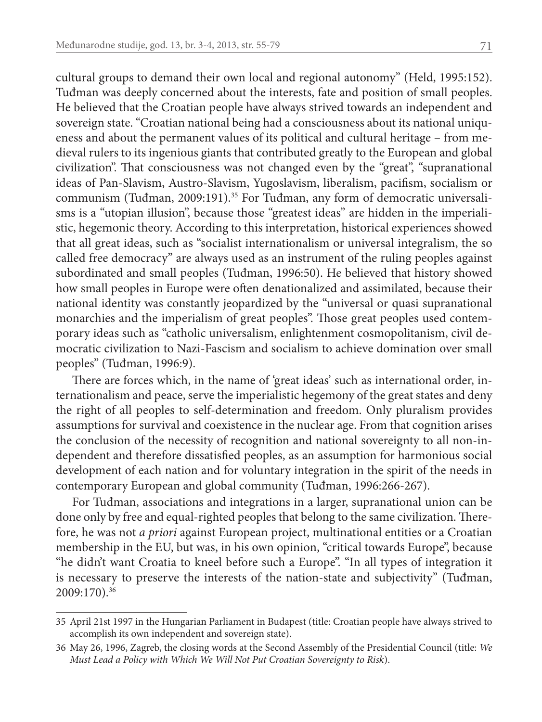cultural groups to demand their own local and regional autonomy" (Held, 1995:152). Tuđman was deeply concerned about the interests, fate and position of small peoples. He believed that the Croatian people have always strived towards an independent and sovereign state. "Croatian national being had a consciousness about its national uniqueness and about the permanent values of its political and cultural heritage – from medieval rulers to its ingenious giants that contributed greatly to the European and global civilization". That consciousness was not changed even by the "great", "supranational ideas of Pan-Slavism, Austro-Slavism, Yugoslavism, liberalism, pacifism, socialism or communism (Tuđman, 2009:191).<sup>35</sup> For Tuđman, any form of democratic universalisms is a "utopian illusion", because those "greatest ideas" are hidden in the imperialistic, hegemonic theory. According to this interpretation, historical experiences showed that all great ideas, such as "socialist internationalism or universal integralism, the so called free democracy" are always used as an instrument of the ruling peoples against subordinated and small peoples (Tuđman, 1996:50). He believed that history showed how small peoples in Europe were often denationalized and assimilated, because their national identity was constantly jeopardized by the "universal or quasi supranational monarchies and the imperialism of great peoples". Those great peoples used contemporary ideas such as "catholic universalism, enlightenment cosmopolitanism, civil democratic civilization to Nazi-Fascism and socialism to achieve domination over small peoples" (Tuđman, 1996:9).

There are forces which, in the name of 'great ideas' such as international order, internationalism and peace, serve the imperialistic hegemony of the great states and deny the right of all peoples to self-determination and freedom. Only pluralism provides assumptions for survival and coexistence in the nuclear age. From that cognition arises the conclusion of the necessity of recognition and national sovereignty to all non-independent and therefore dissatisfied peoples, as an assumption for harmonious social development of each nation and for voluntary integration in the spirit of the needs in contemporary European and global community (Tuđman, 1996:266-267).

For Tuđman, associations and integrations in a larger, supranational union can be done only by free and equal-righted peoples that belong to the same civilization. Therefore, he was not *a priori* against European project, multinational entities or a Croatian membership in the EU, but was, in his own opinion, "critical towards Europe", because "he didn't want Croatia to kneel before such a Europe". "In all types of integration it is necessary to preserve the interests of the nation-state and subjectivity" (Tuđman, 2009:170).36

<sup>35</sup> April 21st 1997 in the Hungarian Parliament in Budapest (title: Croatian people have always strived to accomplish its own independent and sovereign state).

<sup>36</sup> May 26, 1996, Zagreb, the closing words at the Second Assembly of the Presidential Council (title: *We Must Lead a Policy with Which We Will Not Put Croatian Sovereignty to Risk*).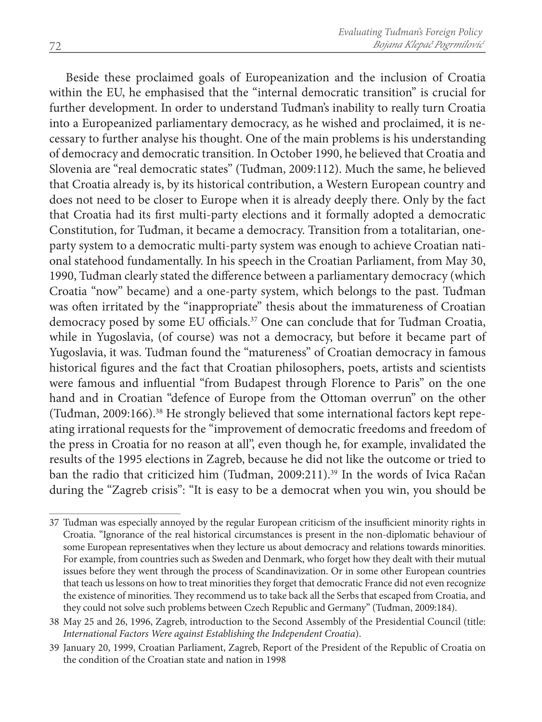Beside these proclaimed goals of Europeanization and the inclusion of Croatia within the EU, he emphasised that the "internal democratic transition" is crucial for further development. In order to understand Tuđman's inability to really turn Croatia into a Europeanized parliamentary democracy, as he wished and proclaimed, it is necessary to further analyse his thought. One of the main problems is his understanding of democracy and democratic transition. In October 1990, he believed that Croatia and Slovenia are "real democratic states" (Tuđman, 2009:112). Much the same, he believed that Croatia already is, by its historical contribution, a Western European country and does not need to be closer to Europe when it is already deeply there. Only by the fact that Croatia had its first multi-party elections and it formally adopted a democratic Constitution, for Tuđman, it became a democracy. Transition from a totalitarian, oneparty system to a democratic multi-party system was enough to achieve Croatian national statehood fundamentally. In his speech in the Croatian Parliament, from May 30, 1990, Tuđman clearly stated the difference between a parliamentary democracy (which Croatia "now" became) and a one-party system, which belongs to the past. Tuđman was often irritated by the "inappropriate" thesis about the immatureness of Croatian democracy posed by some EU officials.37 One can conclude that for Tuđman Croatia, while in Yugoslavia, (of course) was not a democracy, but before it became part of Yugoslavia, it was. Tuđman found the "matureness" of Croatian democracy in famous historical figures and the fact that Croatian philosophers, poets, artists and scientists were famous and influential "from Budapest through Florence to Paris" on the one hand and in Croatian "defence of Europe from the Ottoman overrun" on the other (Tuđman, 2009:166).38 He strongly believed that some international factors kept repeating irrational requests for the "improvement of democratic freedoms and freedom of the press in Croatia for no reason at all", even though he, for example, invalidated the results of the 1995 elections in Zagreb, because he did not like the outcome or tried to ban the radio that criticized him (Tuđman, 2009:211).39 In the words of Ivica Račan during the "Zagreb crisis": "It is easy to be a democrat when you win, you should be

<sup>37</sup> Tuđman was especially annoyed by the regular European criticism of the insufficient minority rights in Croatia. "Ignorance of the real historical circumstances is present in the non-diplomatic behaviour of some European representatives when they lecture us about democracy and relations towards minorities. For example, from countries such as Sweden and Denmark, who forget how they dealt with their mutual issues before they went through the process of Scandinavization. Or in some other European countries that teach us lessons on how to treat minorities they forget that democratic France did not even recognize the existence of minorities. They recommend us to take back all the Serbs that escaped from Croatia, and they could not solve such problems between Czech Republic and Germany" (Tuđman, 2009:184).

<sup>38</sup> May 25 and 26, 1996, Zagreb, introduction to the Second Assembly of the Presidential Council (title: *International Factors Were against Establishing the Independent Croatia*).

<sup>39</sup> January 20, 1999, Croatian Parliament, Zagreb, Report of the President of the Republic of Croatia on the condition of the Croatian state and nation in 1998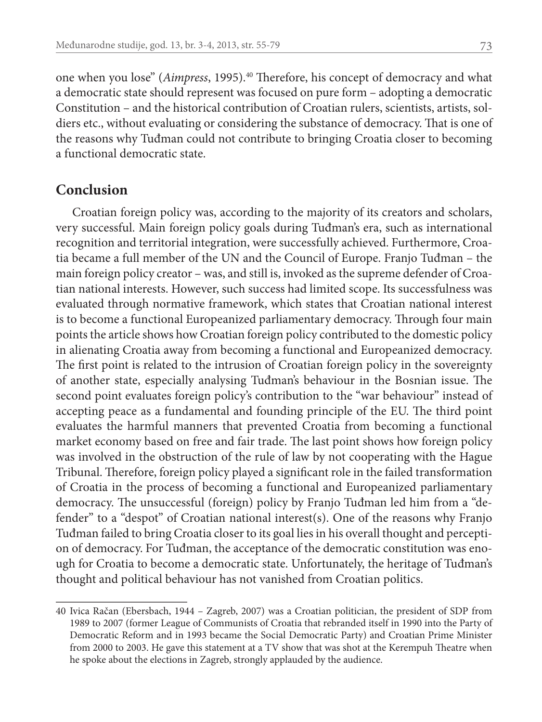one when you lose" (*Aimpress*, 1995).<sup>40</sup> Therefore, his concept of democracy and what a democratic state should represent was focused on pure form – adopting a democratic Constitution – and the historical contribution of Croatian rulers, scientists, artists, soldiers etc., without evaluating or considering the substance of democracy. That is one of the reasons why Tuđman could not contribute to bringing Croatia closer to becoming a functional democratic state.

#### **Conclusion**

Croatian foreign policy was, according to the majority of its creators and scholars, very successful. Main foreign policy goals during Tuđman's era, such as international recognition and territorial integration, were successfully achieved. Furthermore, Croatia became a full member of the UN and the Council of Europe. Franjo Tuđman – the main foreign policy creator – was, and still is, invoked as the supreme defender of Croatian national interests. However, such success had limited scope. Its successfulness was evaluated through normative framework, which states that Croatian national interest is to become a functional Europeanized parliamentary democracy. Through four main points the article shows how Croatian foreign policy contributed to the domestic policy in alienating Croatia away from becoming a functional and Europeanized democracy. The first point is related to the intrusion of Croatian foreign policy in the sovereignty of another state, especially analysing Tuđman's behaviour in the Bosnian issue. The second point evaluates foreign policy's contribution to the "war behaviour" instead of accepting peace as a fundamental and founding principle of the EU. The third point evaluates the harmful manners that prevented Croatia from becoming a functional market economy based on free and fair trade. The last point shows how foreign policy was involved in the obstruction of the rule of law by not cooperating with the Hague Tribunal. Therefore, foreign policy played a significant role in the failed transformation of Croatia in the process of becoming a functional and Europeanized parliamentary democracy. The unsuccessful (foreign) policy by Franjo Tuđman led him from a "defender" to a "despot" of Croatian national interest(s). One of the reasons why Franjo Tuđman failed to bring Croatia closer to its goal lies in his overall thought and perception of democracy. For Tuđman, the acceptance of the democratic constitution was enough for Croatia to become a democratic state. Unfortunately, the heritage of Tuđman's thought and political behaviour has not vanished from Croatian politics.

<sup>40</sup> Ivica Račan (Ebersbach, 1944 – Zagreb, 2007) was a Croatian politician, the president of SDP from 1989 to 2007 (former League of Communists of Croatia that rebranded itself in 1990 into the Party of Democratic Reform and in 1993 became the Social Democratic Party) and Croatian Prime Minister from 2000 to 2003. He gave this statement at a TV show that was shot at the Kerempuh Theatre when he spoke about the elections in Zagreb, strongly applauded by the audience.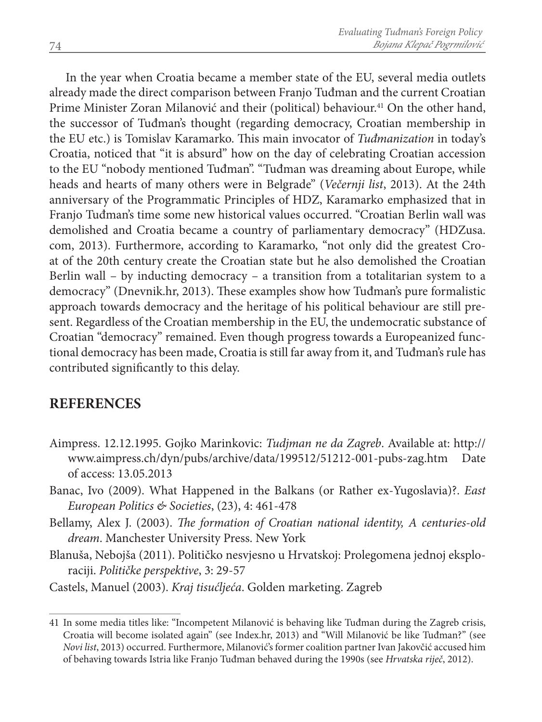In the year when Croatia became a member state of the EU, several media outlets already made the direct comparison between Franjo Tuđman and the current Croatian Prime Minister Zoran Milanović and their (political) behaviour.<sup>41</sup> On the other hand, the successor of Tuđman's thought (regarding democracy, Croatian membership in the EU etc.) is Tomislav Karamarko. This main invocator of *Tuđmanization* in today's Croatia, noticed that "it is absurd" how on the day of celebrating Croatian accession to the EU "nobody mentioned Tuđman". "Tuđman was dreaming about Europe, while heads and hearts of many others were in Belgrade" (*Večernji list*, 2013). At the 24th anniversary of the Programmatic Principles of HDZ, Karamarko emphasized that in Franjo Tuđman's time some new historical values occurred. "Croatian Berlin wall was demolished and Croatia became a country of parliamentary democracy" (HDZusa. com, 2013). Furthermore, according to Karamarko, "not only did the greatest Croat of the 20th century create the Croatian state but he also demolished the Croatian Berlin wall – by inducting democracy – a transition from a totalitarian system to a democracy" (Dnevnik.hr, 2013). These examples show how Tuđman's pure formalistic approach towards democracy and the heritage of his political behaviour are still present. Regardless of the Croatian membership in the EU, the undemocratic substance of Croatian "democracy" remained. Even though progress towards a Europeanized functional democracy has been made, Croatia is still far away from it, and Tuđman's rule has contributed significantly to this delay.

#### **REFERENCES**

- Aimpress. 12.12.1995. Gojko Marinkovic: *Tudjman ne da Zagreb*. Available at: http:// www.aimpress.ch/dyn/pubs/archive/data/199512/51212-001-pubs-zag.htm Date of access: 13.05.2013
- Banac, Ivo (2009). What Happened in the Balkans (or Rather ex-Yugoslavia)?. *East European Politics & Societies*, (23), 4: 461-478
- Bellamy, Alex J. (2003). *The formation of Croatian national identity, A centuries-old dream*. Manchester University Press. New York
- Blanuša, Nebojša (2011). Političko nesvjesno u Hrvatskoj: Prolegomena jednoj eksploraciji. *Političke perspektive*, 3: 29-57
- Castels, Manuel (2003). *Kraj tisućljeća*. Golden marketing. Zagreb

<sup>41</sup> In some media titles like: "Incompetent Milanović is behaving like Tuđman during the Zagreb crisis, Croatia will become isolated again" (see Index.hr, 2013) and "Will Milanović be like Tuđman?" (see *Novi list*, 2013) occurred. Furthermore, Milanović's former coalition partner Ivan Jakovčić accused him of behaving towards Istria like Franjo Tuđman behaved during the 1990s (see *Hrvatska riječ*, 2012).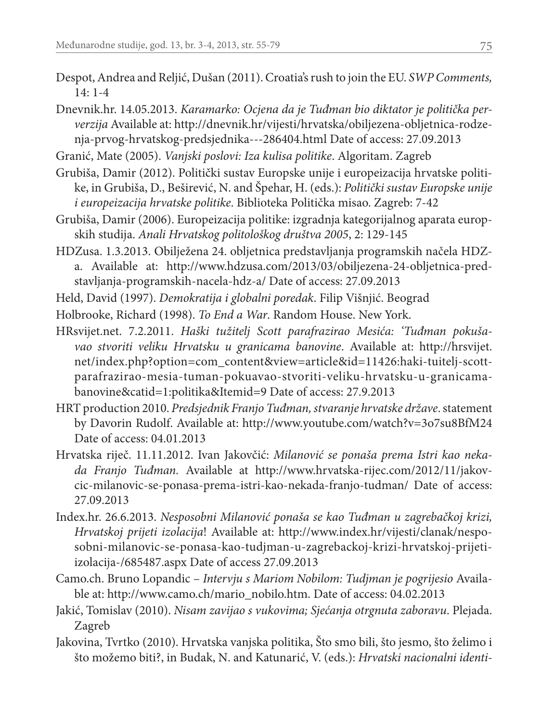- Despot, Andrea and Reljić, Dušan (2011). Croatia's rush to join the EU. *SWP Comments,*   $14 \cdot 1 - 4$
- Dnevnik.hr. 14.05.2013. *Karamarko: Ocjena da je Tuđman bio diktator je politička perverzija* Available at: http://dnevnik.hr/vijesti/hrvatska/obiljezena-obljetnica-rodzenja-prvog-hrvatskog-predsjednika---286404.html Date of access: 27.09.2013
- Granić, Mate (2005). *Vanjski poslovi: Iza kulisa politike*. Algoritam. Zagreb
- Grubiša, Damir (2012). Politički sustav Europske unije i europeizacija hrvatske politike, in Grubiša, D., Beširević, N. and Špehar, H. (eds.): *Politički sustav Europske unije i europeizacija hrvatske politike*. Biblioteka Politička misao. Zagreb: 7-42
- Grubiša, Damir (2006). Europeizacija politike: izgradnja kategorijalnog aparata europskih studija. *Anali Hrvatskog politološkog društva 2005*, 2: 129-145
- HDZusa. 1.3.2013. Obilježena 24. obljetnica predstavljanja programskih načela HDZa. Available at: http://www.hdzusa.com/2013/03/obiljezena-24-obljetnica-predstavljanja-programskih-nacela-hdz-a/ Date of access: 27.09.2013
- Held, David (1997). *Demokratija i globalni poredak*. Filip Višnjić. Beograd
- Holbrooke, Richard (1998). *To End a War*. Random House. New York.
- HRsvijet.net. 7.2.2011. *Haški tužitelj Scott parafrazirao Mesića: 'Tuđman pokušavao stvoriti veliku Hrvatsku u granicama banovine*. Available at: http://hrsvijet. net/index.php?option=com\_content&view=article&id=11426:haki-tuitelj-scottparafrazirao-mesia-tuman-pokuavao-stvoriti-veliku-hrvatsku-u-granicamabanovine&catid=1:politika&Itemid=9 Date of access: 27.9.2013
- HRT production 2010. *Predsjednik Franjo Tuđman, stvaranje hrvatske države*. statement by Davorin Rudolf. Available at: http://www.youtube.com/watch?v=3o7su8BfM24 Date of access: 04.01.2013
- Hrvatska riječ. 11.11.2012. Ivan Jakovčić: *Milanović se ponaša prema Istri kao nekada Franjo Tuđman.* Available at http://www.hrvatska-rijec.com/2012/11/jakovcic-milanovic-se-ponasa-prema-istri-kao-nekada-franjo-tudman/ Date of access: 27.09.2013
- Index.hr. 26.6.2013. *Nesposobni Milanović ponaša se kao Tuđman u zagrebačkoj krizi, Hrvatskoj prijeti izolacija*! Available at: http://www.index.hr/vijesti/clanak/nesposobni-milanovic-se-ponasa-kao-tudjman-u-zagrebackoj-krizi-hrvatskoj-prijetiizolacija-/685487.aspx Date of access 27.09.2013
- Camo.ch. Bruno Lopandic *Intervju s Mariom Nobilom: Tudjman je pogrijesio* Available at: http://www.camo.ch/mario\_nobilo.htm. Date of access: 04.02.2013
- Jakić, Tomislav (2010). *Nisam zavijao s vukovima; Sjećanja otrgnuta zaboravu*. Plejada. Zagreb
- Jakovina, Tvrtko (2010). Hrvatska vanjska politika, Što smo bili, što jesmo, što želimo i što možemo biti?, in Budak, N. and Katunarić, V. (eds.): *Hrvatski nacionalni identi-*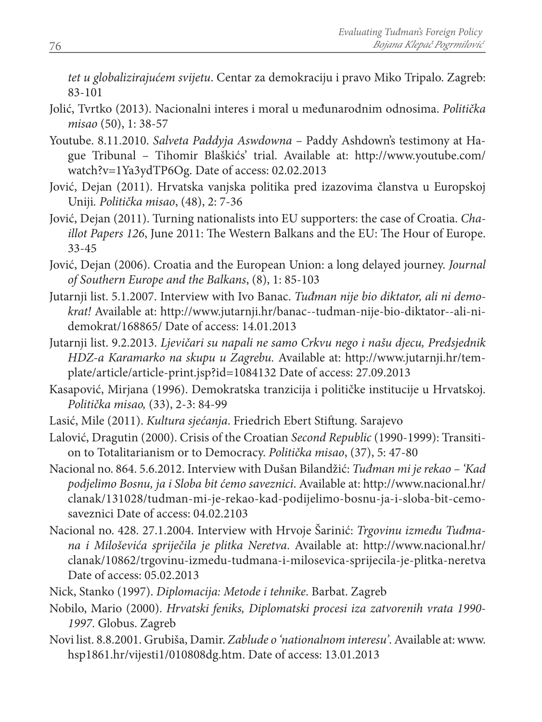*tet u globalizirajućem svijetu*. Centar za demokraciju i pravo Miko Tripalo. Zagreb: 83-101

- Jolić, Tvrtko (2013). Nacionalni interes i moral u međunarodnim odnosima. *Politička misao* (50), 1: 38-57
- Youtube. 8.11.2010. *Salveta Paddyja Aswdowna* Paddy Ashdown's testimony at Hague Tribunal – Tihomir Blaškićs' trial. Available at: http://www.youtube.com/ watch?v=1Ya3ydTP6Og. Date of access: 02.02.2013
- Jović, Dejan (2011). Hrvatska vanjska politika pred izazovima članstva u Europskoj Uniji*. Politička misao*, (48), 2: 7-36
- Jović, Dejan (2011). Turning nationalists into EU supporters: the case of Croatia. *Chaillot Papers 126*, June 2011: The Western Balkans and the EU: The Hour of Europe. 33-45
- Jović, Dejan (2006). Croatia and the European Union: a long delayed journey. *Journal of Southern Europe and the Balkans*, (8), 1: 85-103
- Jutarnji list. 5.1.2007. Interview with Ivo Banac. *Tuđman nije bio diktator, ali ni demokrat!* Available at: http://www.jutarnji.hr/banac--tudman-nije-bio-diktator--ali-nidemokrat/168865/ Date of access: 14.01.2013
- Jutarnji list. 9.2.2013. *Ljevičari su napali ne samo Crkvu nego i našu djecu, Predsjednik HDZ-a Karamarko na skupu u Zagrebu.* Available at: http://www.jutarnji.hr/template/article/article-print.jsp?id=1084132 Date of access: 27.09.2013
- Kasapović, Mirjana (1996). Demokratska tranzicija i političke institucije u Hrvatskoj. *Politička misao,* (33), 2-3: 84-99
- Lasić, Mile (2011). *Kultura sjećanja*. Friedrich Ebert Stiftung. Sarajevo
- Lalović, Dragutin (2000). Crisis of the Croatian *Second Republic* (1990-1999): Transition to Totalitarianism or to Democracy. *Politička misao*, (37), 5: 47-80
- Nacional no. 864. 5.6.2012. Interview with Dušan Bilandžić: *Tuđman mi je rekao 'Kad podjelimo Bosnu, ja i Sloba bit ćemo saveznici*. Available at: http://www.nacional.hr/ clanak/131028/tudman-mi-je-rekao-kad-podijelimo-bosnu-ja-i-sloba-bit-cemosaveznici Date of access: 04.02.2103
- Nacional no. 428. 27.1.2004. Interview with Hrvoje Šarinić: *Trgovinu između Tuđmana i Miloševića spriječila je plitka Neretva*. Available at: http://www.nacional.hr/ clanak/10862/trgovinu-izmedu-tudmana-i-milosevica-sprijecila-je-plitka-neretva Date of access: 05.02.2013
- Nick, Stanko (1997). *Diplomacija: Metode i tehnike*. Barbat. Zagreb
- Nobilo, Mario (2000). *Hrvatski feniks, Diplomatski procesi iza zatvorenih vrata 1990- 1997*. Globus. Zagreb
- Novi list. 8.8.2001. Grubiša, Damir. *Zablude o 'nationalnom interesu'*. Available at: www. hsp1861.hr/vijesti1/010808dg.htm. Date of access: 13.01.2013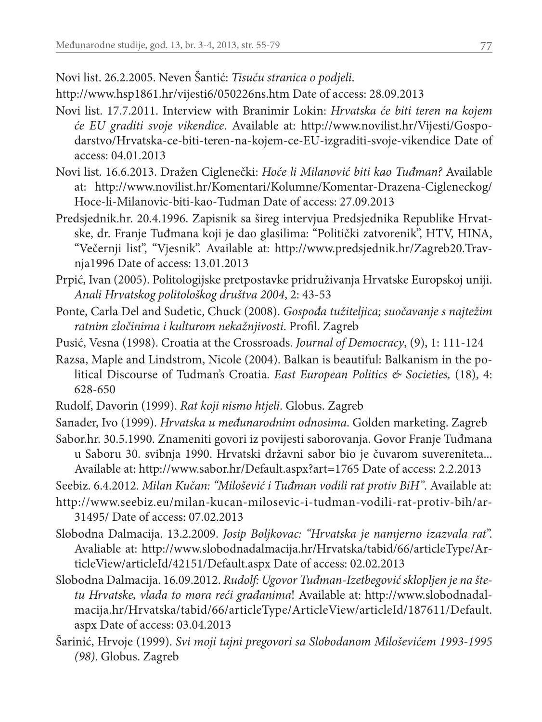Novi list. 26.2.2005. Neven Šantić: *Tisuću stranica o podjeli*.

http://www.hsp1861.hr/vijesti6/050226ns.htm Date of access: 28.09.2013

- Novi list. 17.7.2011. Interview with Branimir Lokin: *Hrvatska će biti teren na kojem će EU graditi svoje vikendice*. Available at: http://www.novilist.hr/Vijesti/Gospodarstvo/Hrvatska-ce-biti-teren-na-kojem-ce-EU-izgraditi-svoje-vikendice Date of access: 04.01.2013
- Novi list. 16.6.2013. Dražen Ciglenečki: *Hoće li Milanović biti kao Tuđman?* Available at: http://www.novilist.hr/Komentari/Kolumne/Komentar-Drazena-Cigleneckog/ Hoce-li-Milanovic-biti-kao-Tudman Date of access: 27.09.2013
- Predsjednik.hr. 20.4.1996. Zapisnik sa šireg intervjua Predsjednika Republike Hrvatske, dr. Franje Tuđmana koji je dao glasilima: "Politički zatvorenik", HTV, HINA, "Večernji list", "Vjesnik". Available at: http://www.predsjednik.hr/Zagreb20.Travnja1996 Date of access: 13.01.2013
- Prpić, Ivan (2005). Politologijske pretpostavke pridruživanja Hrvatske Europskoj uniji. *Anali Hrvatskog politološkog društva 2004*, 2: 43-53
- Ponte, Carla Del and Sudetic, Chuck (2008). *Gospođa tužiteljica; suočavanje s najtežim ratnim zločinima i kulturom nekažnjivosti*. Profil. Zagreb
- Pusić, Vesna (1998). Croatia at the Crossroads. *Journal of Democracy*, (9), 1: 111-124
- Razsa, Maple and Lindstrom, Nicole (2004). Balkan is beautiful: Balkanism in the political Discourse of Tudman's Croatia. *East European Politics & Societies,* (18), 4: 628-650
- Rudolf, Davorin (1999). *Rat koji nismo htjeli*. Globus. Zagreb
- Sanader, Ivo (1999). *Hrvatska u međunarodnim odnosima*. Golden marketing. Zagreb
- Sabor.hr. 30.5.1990. Znameniti govori iz povijesti saborovanja. Govor Franje Tuđmana u Saboru 30. svibnja 1990. Hrvatski državni sabor bio je čuvarom suvereniteta... Available at: http://www.sabor.hr/Default.aspx?art=1765 Date of access: 2.2.2013
- Seebiz. 6.4.2012. *Milan Kučan: "Milošević i Tuđman vodili rat protiv BiH"*. Available at:
- http://www.seebiz.eu/milan-kucan-milosevic-i-tudman-vodili-rat-protiv-bih/ar-31495/ Date of access: 07.02.2013
- Slobodna Dalmacija. 13.2.2009. *Josip Boljkovac: "Hrvatska je namjerno izazvala rat*". Avaliable at: http://www.slobodnadalmacija.hr/Hrvatska/tabid/66/articleType/ArticleView/articleId/42151/Default.aspx Date of access: 02.02.2013
- Slobodna Dalmacija. 16.09.2012. *Rudolf: Ugovor Tuđman-Izetbegović sklopljen je na štetu Hrvatske, vlada to mora reći građanima*! Available at: http://www.slobodnadalmacija.hr/Hrvatska/tabid/66/articleType/ArticleView/articleId/187611/Default. aspx Date of access: 03.04.2013
- Šarinić, Hrvoje (1999). *Svi moji tajni pregovori sa Slobodanom Miloševićem 1993-1995 (98)*. Globus. Zagreb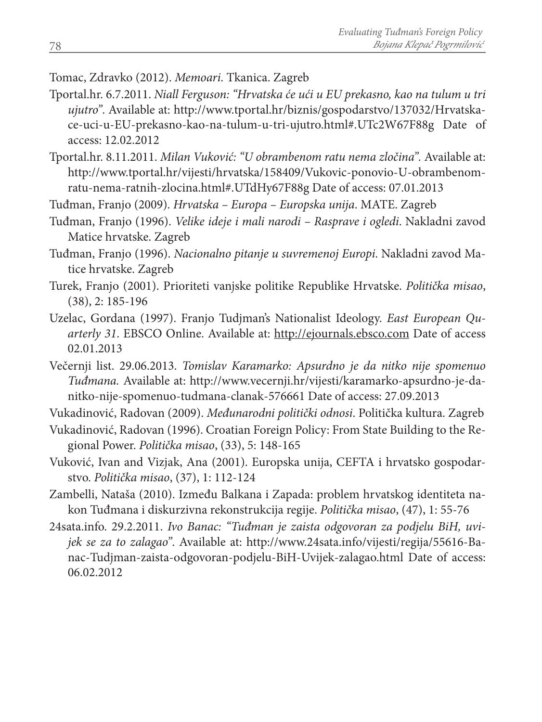#### Tomac, Zdravko (2012). *Memoari*. Tkanica. Zagreb

- Tportal.hr. 6.7.2011. *Niall Ferguson: "Hrvatska će ući u EU prekasno, kao na tulum u tri ujutro"*. Available at: http://www.tportal.hr/biznis/gospodarstvo/137032/Hrvatskace-uci-u-EU-prekasno-kao-na-tulum-u-tri-ujutro.html#.UTc2W67F88g Date of access: 12.02.2012
- Tportal.hr. 8.11.2011. *Milan Vuković: "U obrambenom ratu nema zločina".* Available at: http://www.tportal.hr/vijesti/hrvatska/158409/Vukovic-ponovio-U-obrambenomratu-nema-ratnih-zlocina.html#.UTdHy67F88g Date of access: 07.01.2013

Tuđman, Franjo (2009). *Hrvatska – Europa – Europska unija*. MATE. Zagreb

- Tuđman, Franjo (1996). *Velike ideje i mali narodi Rasprave i ogledi*. Nakladni zavod Matice hrvatske. Zagreb
- Tuđman, Franjo (1996). *Nacionalno pitanje u suvremenoj Europi*. Nakladni zavod Matice hrvatske. Zagreb
- Turek, Franjo (2001). Prioriteti vanjske politike Republike Hrvatske. *Politička misao*, (38), 2: 185-196
- Uzelac, Gordana (1997). Franjo Tudjman's Nationalist Ideology. *East European Quarterly 31*. EBSCO Online. Available at: http://ejournals.ebsco.com Date of access 02.01.2013
- Večernji list. 29.06.2013. *Tomislav Karamarko: Apsurdno je da nitko nije spomenuo Tuđmana.* Available at: http://www.vecernji.hr/vijesti/karamarko-apsurdno-je-danitko-nije-spomenuo-tudmana-clanak-576661 Date of access: 27.09.2013

Vukadinović, Radovan (2009). *Međunarodni politički odnosi*. Politička kultura. Zagreb

- Vukadinović, Radovan (1996). Croatian Foreign Policy: From State Building to the Regional Power. *Politička misao*, (33), 5: 148-165
- Vuković, Ivan and Vizjak, Ana (2001). Europska unija, CEFTA i hrvatsko gospodarstvo. *Politička misao*, (37), 1: 112-124
- Zambelli, Nataša (2010). Između Balkana i Zapada: problem hrvatskog identiteta nakon Tuđmana i diskurzivna rekonstrukcija regije. *Politička misao*, (47), 1: 55-76
- 24sata.info. 29.2.2011. *Ivo Banac: "Tuđman je zaista odgovoran za podjelu BiH, uvijek se za to zalagao"*. Available at: http://www.24sata.info/vijesti/regija/55616-Banac-Tudjman-zaista-odgovoran-podjelu-BiH-Uvijek-zalagao.html Date of access: 06.02.2012